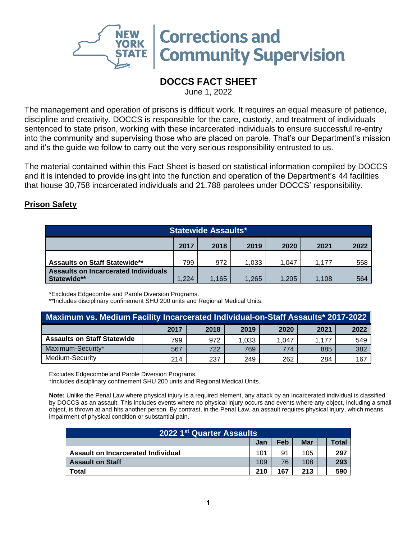

## **DOCCS FACT SHEET**

June 1, 2022

The management and operation of prisons is difficult work. It requires an equal measure of patience, discipline and creativity. DOCCS is responsible for the care, custody, and treatment of individuals sentenced to state prison, working with these incarcerated individuals to ensure successful re-entry into the community and supervising those who are placed on parole. That's our Department's mission and it's the guide we follow to carry out the very serious responsibility entrusted to us.

The material contained within this Fact Sheet is based on statistical information compiled by DOCCS and it is intended to provide insight into the function and operation of the Department's 44 facilities that house 30,758 incarcerated individuals and 21,788 parolees under DOCCS' responsibility.

## **Prison Safety**

| <b>Statewide Assaults*</b>                                 |       |       |       |       |       |     |  |
|------------------------------------------------------------|-------|-------|-------|-------|-------|-----|--|
| 2017<br>2018<br>2019<br>2020<br>2021<br>2022               |       |       |       |       |       |     |  |
| <b>Assaults on Staff Statewide**</b>                       | 799   | 972   | 1,033 | 1.047 | 1.177 | 558 |  |
| <b>Assaults on Incarcerated Individuals</b><br>Statewide** | 1.205 | 1.108 | 564   |       |       |     |  |

\*Excludes Edgecombe and Parole Diversion Programs.

\*\*Includes disciplinary confinement SHU 200 units and Regional Medical Units.

| Maximum vs. Medium Facility Incarcerated Individual-on-Staff Assaults* 2017-2022 |      |      |       |       |       |      |  |
|----------------------------------------------------------------------------------|------|------|-------|-------|-------|------|--|
|                                                                                  | 2017 | 2018 | 2019  | 2020  | 2021  | 2022 |  |
| <b>Assaults on Staff Statewide</b>                                               | 799  | 972  | 1,033 | 1.047 | 1.177 | 549  |  |
| Maximum-Security*                                                                | 567  | 722  | 769   | 774   | 885   | 382  |  |
| Medium-Security                                                                  | 214  | 237  | 249   | 262   | 284   | 167  |  |

Excludes Edgecombe and Parole Diversion Programs.

\*Includes disciplinary confinement SHU 200 units and Regional Medical Units.

**Note:** Unlike the Penal Law where physical injury is a required element, any attack by an incarcerated individual is classified by DOCCS as an assault. This includes events where no physical injury occurs and events where any object, including a small object, is thrown at and hits another person. By contrast, in the Penal Law, an assault requires physical injury, which means impairment of physical condition or substantial pain.

| 2022 1 <sup>st</sup> Quarter Assaults |            |     |            |  |       |  |  |
|---------------------------------------|------------|-----|------------|--|-------|--|--|
|                                       | <b>Jan</b> | Feb | <b>Mar</b> |  | Total |  |  |
| Assault on Incarcerated Individual    | 101        | 91  | 105        |  | 297   |  |  |
| <b>Assault on Staff</b>               | 109        | 76  | 108        |  | 293   |  |  |
| Total                                 | 210        | 167 | 213        |  | 590   |  |  |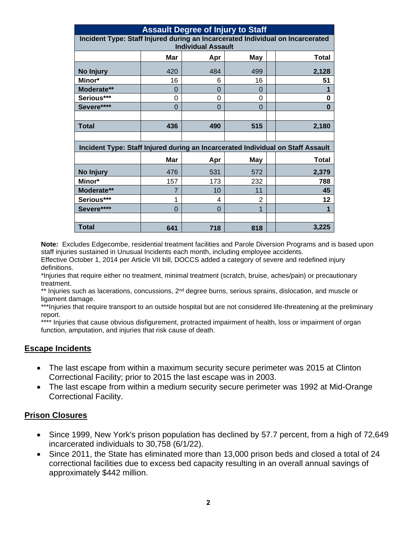| <b>Assault Degree of Injury to Staff</b>                                       |          |          |            |                                                                                 |  |  |  |  |
|--------------------------------------------------------------------------------|----------|----------|------------|---------------------------------------------------------------------------------|--|--|--|--|
| Incident Type: Staff Injured during an Incarcerated Individual on Incarcerated |          |          |            |                                                                                 |  |  |  |  |
| <b>Individual Assault</b>                                                      |          |          |            |                                                                                 |  |  |  |  |
|                                                                                | Mar      | Apr      | <b>May</b> | <b>Total</b>                                                                    |  |  |  |  |
| No Injury                                                                      | 420      | 484      | 499        | 2,128                                                                           |  |  |  |  |
| Minor*                                                                         | 16       | 6        | 16         | 51                                                                              |  |  |  |  |
| Moderate**                                                                     | 0        | $\Omega$ | 0          |                                                                                 |  |  |  |  |
| Serious***                                                                     | 0        | 0        | $\Omega$   | 0                                                                               |  |  |  |  |
| Severe****                                                                     | $\Omega$ | $\Omega$ | $\Omega$   | 0                                                                               |  |  |  |  |
|                                                                                |          |          |            |                                                                                 |  |  |  |  |
| <b>Total</b>                                                                   | 436      | 490      | 515        | 2,180                                                                           |  |  |  |  |
|                                                                                |          |          |            |                                                                                 |  |  |  |  |
|                                                                                |          |          |            | Incident Type: Staff Injured during an Incarcerated Individual on Staff Assault |  |  |  |  |
|                                                                                | Mar      | Apr      | May        | <b>Total</b>                                                                    |  |  |  |  |
| No Injury                                                                      | 476      | 531      | 572        | 2,379                                                                           |  |  |  |  |
| Minor*                                                                         | 157      | 173      | 232        | 788                                                                             |  |  |  |  |
| Moderate**                                                                     | 7        | 10       | 11         | 45                                                                              |  |  |  |  |
| Serious***                                                                     | 1        | 4        | 2          | 12                                                                              |  |  |  |  |
| Severe****                                                                     | $\Omega$ | $\Omega$ |            |                                                                                 |  |  |  |  |
|                                                                                |          |          |            |                                                                                 |  |  |  |  |
| <b>Total</b>                                                                   | 641      | 718      | 818        | 3,225                                                                           |  |  |  |  |

**Note:** Excludes Edgecombe, residential treatment facilities and Parole Diversion Programs and is based upon staff injuries sustained in Unusual Incidents each month, including employee accidents.

Effective October 1, 2014 per Article VII bill, DOCCS added a category of severe and redefined injury definitions.

\*Injuries that require either no treatment, minimal treatment (scratch, bruise, aches/pain) or precautionary treatment.

\*\* Injuries such as lacerations, concussions, 2<sup>nd</sup> degree burns, serious sprains, dislocation, and muscle or ligament damage.

\*\*\*Injuries that require transport to an outside hospital but are not considered life-threatening at the preliminary report.

\*\*\*\* Injuries that cause obvious disfigurement, protracted impairment of health, loss or impairment of organ function, amputation, and injuries that risk cause of death.

## **Escape Incidents**

- The last escape from within a maximum security secure perimeter was 2015 at Clinton Correctional Facility; prior to 2015 the last escape was in 2003.
- The last escape from within a medium security secure perimeter was 1992 at Mid-Orange Correctional Facility.

## **Prison Closures**

- Since 1999, New York's prison population has declined by 57.7 percent, from a high of 72,649 incarcerated individuals to 30,758 (6/1/22).
- Since 2011, the State has eliminated more than 13,000 prison beds and closed a total of 24 correctional facilities due to excess bed capacity resulting in an overall annual savings of approximately \$442 million.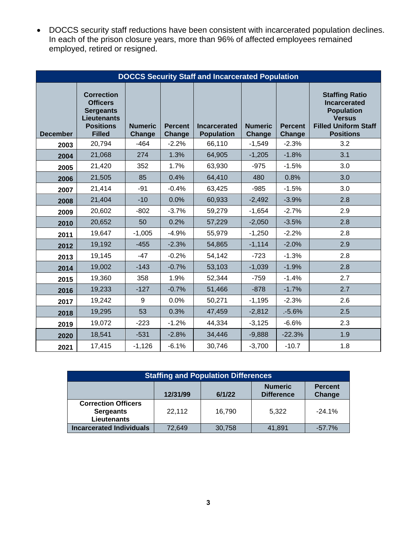• DOCCS security staff reductions have been consistent with incarcerated population declines. In each of the prison closure years, more than 96% of affected employees remained employed, retired or resigned.

|                 | <b>DOCCS Security Staff and Incarcerated Population</b>                                                             |                          |                          |                                          |                                 |                          |                                                                                                                                       |  |  |
|-----------------|---------------------------------------------------------------------------------------------------------------------|--------------------------|--------------------------|------------------------------------------|---------------------------------|--------------------------|---------------------------------------------------------------------------------------------------------------------------------------|--|--|
| <b>December</b> | <b>Correction</b><br><b>Officers</b><br><b>Sergeants</b><br><b>Lieutenants</b><br><b>Positions</b><br><b>Filled</b> | <b>Numeric</b><br>Change | <b>Percent</b><br>Change | <b>Incarcerated</b><br><b>Population</b> | <b>Numeric</b><br><b>Change</b> | <b>Percent</b><br>Change | <b>Staffing Ratio</b><br><b>Incarcerated</b><br><b>Population</b><br><b>Versus</b><br><b>Filled Uniform Staff</b><br><b>Positions</b> |  |  |
| 2003            | 20,794                                                                                                              | $-464$                   | $-2.2%$                  | 66,110                                   | $-1,549$                        | $-2.3%$                  | 3.2                                                                                                                                   |  |  |
| 2004            | 21,068                                                                                                              | 274                      | 1.3%                     | 64,905                                   | $-1,205$                        | $-1.8%$                  | 3.1                                                                                                                                   |  |  |
| 2005            | 21,420                                                                                                              | 352                      | 1.7%                     | 63,930                                   | $-975$                          | $-1.5%$                  | 3.0                                                                                                                                   |  |  |
| 2006            | 21,505                                                                                                              | 85                       | 0.4%                     | 64,410                                   | 480                             | 0.8%                     | 3.0                                                                                                                                   |  |  |
| 2007            | 21,414                                                                                                              | $-91$                    | $-0.4%$                  | 63,425                                   | $-985$                          | $-1.5%$                  | 3.0                                                                                                                                   |  |  |
| 2008            | 21,404                                                                                                              | $-10$                    | 0.0%                     | 60,933                                   | $-2,492$                        | $-3.9%$                  | 2.8                                                                                                                                   |  |  |
| 2009            | 20,602                                                                                                              | $-802$                   | $-3.7%$                  | 59,279                                   | $-1,654$                        | $-2.7%$                  | 2.9                                                                                                                                   |  |  |
| 2010            | 20,652                                                                                                              | 50                       | 0.2%                     | 57,229                                   | $-2,050$                        | $-3.5%$                  | 2.8                                                                                                                                   |  |  |
| 2011            | 19,647                                                                                                              | $-1,005$                 | $-4.9%$                  | 55,979                                   | $-1,250$                        | $-2.2%$                  | 2.8                                                                                                                                   |  |  |
| 2012            | 19,192                                                                                                              | $-455$                   | $-2.3%$                  | 54,865                                   | $-1,114$                        | $-2.0%$                  | 2.9                                                                                                                                   |  |  |
| 2013            | 19,145                                                                                                              | $-47$                    | $-0.2%$                  | 54,142                                   | $-723$                          | $-1.3%$                  | 2.8                                                                                                                                   |  |  |
| 2014            | 19,002                                                                                                              | $-143$                   | $-0.7%$                  | 53,103                                   | $-1,039$                        | $-1.9%$                  | 2.8                                                                                                                                   |  |  |
| 2015            | 19,360                                                                                                              | 358                      | 1.9%                     | 52,344                                   | $-759$                          | $-1.4%$                  | 2.7                                                                                                                                   |  |  |
| 2016            | 19,233                                                                                                              | $-127$                   | $-0.7%$                  | 51,466                                   | $-878$                          | $-1.7%$                  | 2.7                                                                                                                                   |  |  |
| 2017            | 19,242                                                                                                              | 9                        | 0.0%                     | 50,271                                   | $-1,195$                        | $-2.3%$                  | 2.6                                                                                                                                   |  |  |
| 2018            | 19,295                                                                                                              | 53                       | 0.3%                     | 47,459                                   | $-2,812$                        | .5.6%                    | 2.5                                                                                                                                   |  |  |
| 2019            | 19,072                                                                                                              | $-223$                   | $-1.2%$                  | 44,334                                   | $-3,125$                        | $-6.6%$                  | 2.3                                                                                                                                   |  |  |
| 2020            | 18,541                                                                                                              | $-531$                   | $-2.8%$                  | 34,446                                   | $-9,888$                        | $-22.3%$                 | 1.9                                                                                                                                   |  |  |
| 2021            | 17,415                                                                                                              | $-1,126$                 | $-6.1%$                  | 30,746                                   | $-3,700$                        | $-10.7$                  | 1.8                                                                                                                                   |  |  |

| <b>Staffing and Population Differences</b>                           |          |        |                                     |                          |  |  |  |
|----------------------------------------------------------------------|----------|--------|-------------------------------------|--------------------------|--|--|--|
|                                                                      | 12/31/99 | 6/1/22 | <b>Numeric</b><br><b>Difference</b> | <b>Percent</b><br>Change |  |  |  |
| <b>Correction Officers</b><br><b>Sergeants</b><br><b>Lieutenants</b> | 22,112   | 16,790 | 5.322                               | $-24.1%$                 |  |  |  |
| <b>Incarcerated Individuals</b>                                      | 72.649   | 30,758 | 41,891                              | $-57.7\%$                |  |  |  |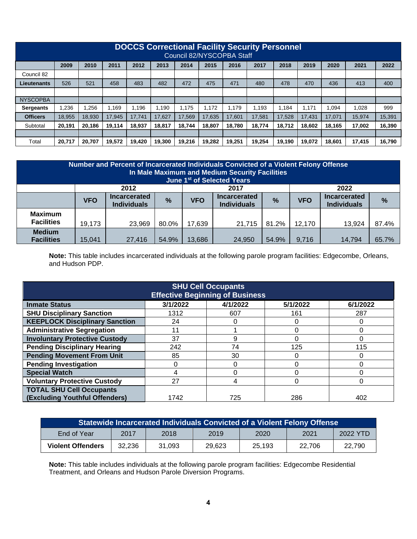|                 | <b>DOCCS Correctional Facility Security Personnel</b><br>Council 82/NYSCOPBA Staff |        |        |        |        |        |        |        |        |        |        |        |        |        |
|-----------------|------------------------------------------------------------------------------------|--------|--------|--------|--------|--------|--------|--------|--------|--------|--------|--------|--------|--------|
|                 | 2009                                                                               | 2010   | 2011   | 2012   | 2013   | 2014   | 2015   | 2016   | 2017   | 2018   | 2019   | 2020   | 2021   | 2022   |
| Council 82      |                                                                                    |        |        |        |        |        |        |        |        |        |        |        |        |        |
| Lieutenants     | 526                                                                                | 521    | 458    | 483    | 482    | 472    | 475    | 471    | 480    | 478    | 470    | 436    | 413    | 400    |
|                 |                                                                                    |        |        |        |        |        |        |        |        |        |        |        |        |        |
| <b>NYSCOPBA</b> |                                                                                    |        |        |        |        |        |        |        |        |        |        |        |        |        |
| Sergeants       | .236                                                                               | .256   | .169   | 1.196  | 1.190  | 1.175  | 1.172  | 1.179  | .193   | 1.184  | 1.171  | .094   | 1.028  | 999    |
| <b>Officers</b> | 18.955                                                                             | 18.930 | 17.945 | 17.741 | 17,627 | 17.569 | 17.635 | 17,601 | 17.581 | 17.528 | 17.431 | 17.071 | 15.974 | 15,391 |
| Subtotal        | 20.191                                                                             | 20,186 | 19,114 | 18.937 | 18.817 | 18.744 | 18.807 | 18.780 | 18.774 | 18.712 | 18.602 | 18.165 | 17,002 | 16,390 |
|                 |                                                                                    |        |        |        |        |        |        |        |        |        |        |        |        |        |
| Total           | 20,717                                                                             | 20.707 | 19.572 | 19,420 | 19,300 | 19.216 | 19.282 | 19,251 | 19.254 | 19.190 | 19.072 | 18.601 | 17.415 | 16,790 |

| Number and Percent of Incarcerated Individuals Convicted of a Violent Felony Offense<br>In Male Maximum and Medium Security Facilities<br>June 1st of Selected Years |                      |                                           |       |            |                                           |               |            |                                           |               |
|----------------------------------------------------------------------------------------------------------------------------------------------------------------------|----------------------|-------------------------------------------|-------|------------|-------------------------------------------|---------------|------------|-------------------------------------------|---------------|
|                                                                                                                                                                      | 2022<br>2012<br>2017 |                                           |       |            |                                           |               |            |                                           |               |
|                                                                                                                                                                      | <b>VFO</b>           | <b>Incarcerated</b><br><b>Individuals</b> | %     | <b>VFO</b> | <b>Incarcerated</b><br><b>Individuals</b> | $\frac{9}{6}$ | <b>VFO</b> | <b>Incarcerated</b><br><b>Individuals</b> | $\frac{9}{6}$ |
| <b>Maximum</b><br><b>Facilities</b>                                                                                                                                  | 19,173               | 23,969                                    | 80.0% | 17,639     | 21,715                                    | 81.2%         | 12,170     | 13,924                                    | 87.4%         |
| <b>Medium</b><br><b>Facilities</b>                                                                                                                                   | 15,041               | 27.416                                    | 54.9% | 13,686     | 24.950                                    | 54.9%         | 9,716      | 14.794                                    | 65.7%         |

**Note:** This table includes incarcerated individuals at the following parole program facilities: Edgecombe, Orleans, and Hudson PDP.

| <b>SHU Cell Occupants</b><br><b>Effective Beginning of Business</b> |          |          |          |          |  |  |  |
|---------------------------------------------------------------------|----------|----------|----------|----------|--|--|--|
| <b>Inmate Status</b>                                                | 3/1/2022 | 4/1/2022 | 5/1/2022 | 6/1/2022 |  |  |  |
| <b>SHU Disciplinary Sanction</b>                                    | 1312     | 607      | 161      | 287      |  |  |  |
| <b>KEEPLOCK Disciplinary Sanction</b>                               | 24       |          |          |          |  |  |  |
| <b>Administrative Segregation</b>                                   | 11       |          |          | 0        |  |  |  |
| <b>Involuntary Protective Custody</b>                               | 37       | 9        |          | 0        |  |  |  |
| <b>Pending Disciplinary Hearing</b>                                 | 242      | 74       | 125      | 115      |  |  |  |
| <b>Pending Movement From Unit</b>                                   | 85       | 30       |          | 0        |  |  |  |
| <b>Pending Investigation</b>                                        |          |          |          | 0        |  |  |  |
| <b>Special Watch</b>                                                | 4        |          |          | 0        |  |  |  |
| <b>Voluntary Protective Custody</b>                                 | 27       | 4        |          | 0        |  |  |  |
| <b>TOTAL SHU Cell Occupants</b><br>(Excluding Youthful Offenders)   | 1742     | 725      | 286      | 402      |  |  |  |

| Statewide Incarcerated Individuals Convicted of a Violent Felony Offense |        |        |        |        |        |          |  |
|--------------------------------------------------------------------------|--------|--------|--------|--------|--------|----------|--|
| End of Year                                                              | 2017   | 2018   | 2019   | 2020   | 2021   | 2022 YTD |  |
| <b>Violent Offenders</b>                                                 | 32.236 | 31.093 | 29.623 | 25.193 | 22.706 | 22.790   |  |

**Note:** This table includes individuals at the following parole program facilities: Edgecombe Residential Treatment, and Orleans and Hudson Parole Diversion Programs.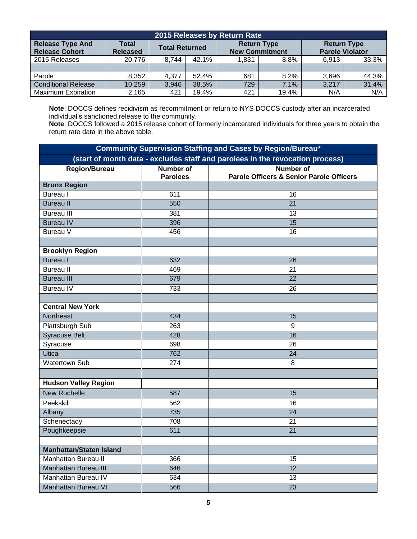| 2015 Releases by Return Rate                     |                          |                       |       |                                             |       |                                              |       |  |
|--------------------------------------------------|--------------------------|-----------------------|-------|---------------------------------------------|-------|----------------------------------------------|-------|--|
| <b>Release Type And</b><br><b>Release Cohort</b> | Total<br><b>Released</b> | <b>Total Returned</b> |       | <b>Return Type</b><br><b>New Commitment</b> |       | <b>Return Type</b><br><b>Parole Violator</b> |       |  |
| 2015 Releases                                    | 20,776                   | 8,744                 | 42.1% | 1.831                                       | 8.8%  | 6.913                                        | 33.3% |  |
|                                                  |                          |                       |       |                                             |       |                                              |       |  |
| Parole                                           | 8.352                    | 4.377                 | 52.4% | 681                                         | 8.2%  | 3.696                                        | 44.3% |  |
| <b>Conditional Release</b>                       | 10,259                   | 3,946                 | 38.5% | 729                                         | 7.1%  | 3,217                                        | 31.4% |  |
| <b>Maximum Expiration</b>                        | 2,165                    | 421                   | 19.4% | 421                                         | 19.4% | N/A                                          | N/A   |  |

**Note**: DOCCS defines recidivism as recommitment or return to NYS DOCCS custody after an incarcerated individual's sanctioned release to the community.

**Note**: DOCCS followed a 2015 release cohort of formerly incarcerated individuals for three years to obtain the return rate data in the above table.

| <b>Community Supervision Staffing and Cases by Region/Bureau*</b> |                  |                                                                               |  |  |  |  |  |
|-------------------------------------------------------------------|------------------|-------------------------------------------------------------------------------|--|--|--|--|--|
|                                                                   |                  | (start of month data - excludes staff and parolees in the revocation process) |  |  |  |  |  |
| <b>Region/Bureau</b>                                              | <b>Number of</b> | <b>Number of</b>                                                              |  |  |  |  |  |
|                                                                   | <b>Parolees</b>  | <b>Parole Officers &amp; Senior Parole Officers</b>                           |  |  |  |  |  |
| <b>Bronx Region</b>                                               |                  |                                                                               |  |  |  |  |  |
| <b>Bureau</b> I                                                   | 611              | 16                                                                            |  |  |  |  |  |
| <b>Bureau II</b>                                                  | 550              | $\overline{21}$                                                               |  |  |  |  |  |
| <b>Bureau III</b>                                                 | 381              | 13                                                                            |  |  |  |  |  |
| <b>Bureau IV</b>                                                  | 396              | $\overline{15}$                                                               |  |  |  |  |  |
| Bureau V                                                          | 456              | 16                                                                            |  |  |  |  |  |
|                                                                   |                  |                                                                               |  |  |  |  |  |
| <b>Brooklyn Region</b>                                            |                  |                                                                               |  |  |  |  |  |
| <b>Bureau I</b>                                                   | 632              | 26                                                                            |  |  |  |  |  |
| <b>Bureau II</b>                                                  | 469              | 21                                                                            |  |  |  |  |  |
| <b>Bureau III</b>                                                 | 679              | $\overline{22}$                                                               |  |  |  |  |  |
| <b>Bureau IV</b>                                                  | 733              | 26                                                                            |  |  |  |  |  |
|                                                                   |                  |                                                                               |  |  |  |  |  |
| <b>Central New York</b>                                           |                  |                                                                               |  |  |  |  |  |
| Northeast                                                         | 434              | 15                                                                            |  |  |  |  |  |
| Plattsburgh Sub                                                   | 263              | 9                                                                             |  |  |  |  |  |
| <b>Syracuse Belt</b>                                              | 428              | 16                                                                            |  |  |  |  |  |
| Syracuse                                                          | 698              | 26                                                                            |  |  |  |  |  |
| Utica                                                             | 762              | 24                                                                            |  |  |  |  |  |
| <b>Watertown Sub</b>                                              | 274              | 8                                                                             |  |  |  |  |  |
|                                                                   |                  |                                                                               |  |  |  |  |  |
| <b>Hudson Valley Region</b>                                       |                  |                                                                               |  |  |  |  |  |
| <b>New Rochelle</b>                                               | 587              | 15                                                                            |  |  |  |  |  |
| Peekskill                                                         | 562              | 16                                                                            |  |  |  |  |  |
| Albany                                                            | 735              | 24                                                                            |  |  |  |  |  |
| Schenectady                                                       | 708              | 21                                                                            |  |  |  |  |  |
| Poughkeepsie                                                      | 611              | 21                                                                            |  |  |  |  |  |
|                                                                   |                  |                                                                               |  |  |  |  |  |
| <b>Manhattan/Staten Island</b>                                    |                  |                                                                               |  |  |  |  |  |
| Manhattan Bureau II                                               | 366              | 15                                                                            |  |  |  |  |  |
| <b>Manhattan Bureau III</b>                                       | 646              | $\overline{12}$                                                               |  |  |  |  |  |
| Manhattan Bureau IV                                               | 634              | 13                                                                            |  |  |  |  |  |
| <b>Manhattan Bureau VI</b>                                        | 566              | 23                                                                            |  |  |  |  |  |